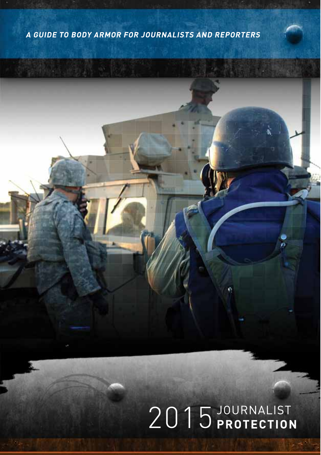# A GUIDE TO BODY ARMOR FOR JOURNALISTS AND REPORTERS

# 2015 JOURNALIST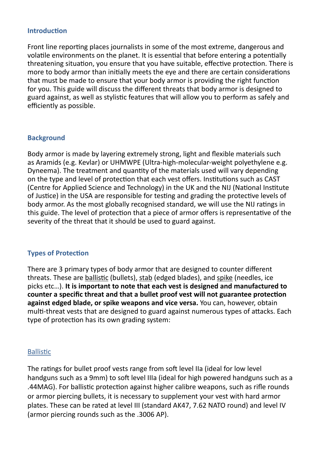#### **Introduction**

Front line reporting places journalists in some of the most extreme, dangerous and volatle environments on the planet. It is essental that before entering a potentally threatening situation, you ensure that you have suitable, effective protection. There is more to body armor than initally meets the eye and there are certain consideratons that must be made to ensure that your body armor is providing the right function for you. This guide will discuss the diferent threats that body armor is designed to guard against, as well as stylistic features that will allow you to perform as safely and efficiently as possible.

#### **Background**

Body armor is made by layering extremely strong, light and fexible materials such as Aramids (e.g. Kevlar) or UHMWPE (Ultra-high-molecular-weight polyethylene e.g. Dyneema). The treatment and quantty of the materials used will vary depending on the type and level of protection that each vest offers. Institutions such as CAST (Centre for Applied Science and Technology) in the UK and the NIJ (Natonal Insttute of Justce) in the USA are responsible for testng and grading the protectve levels of body armor. As the most globally recognised standard, we will use the NIJ ratngs in this guide. The level of protection that a piece of armor offers is representative of the severity of the threat that it should be used to guard against.

#### **Types of Protection**

There are 3 primary types of body armor that are designed to counter diferent threats. These are ballistic (bullets), stab (edged blades), and spike (needles, ice picks etc…). **It is important to note that each vest is designed and manufactured to counter a specifc threat and that a bullet proof vest will not guarantee protecton against edged blade, or spike weapons and vice versa.** You can, however, obtain mult-threat vests that are designed to guard against numerous types of atacks. Each type of protection has its own grading system:

#### **Ballistic**

The ratings for bullet proof vests range from soft level IIa (ideal for low level handguns such as a 9mm) to soft level IIIa (ideal for high powered handguns such as a .44MAG). For ballistc protecton against higher calibre weapons, such as rife rounds or armor piercing bullets, it is necessary to supplement your vest with hard armor plates. These can be rated at level III (standard AK47, 7.62 NATO round) and level IV (armor piercing rounds such as the .3006 AP).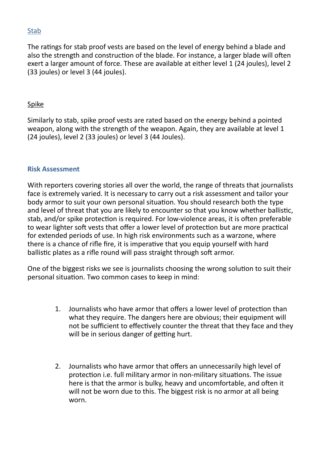## Stab

The ratings for stab proof vests are based on the level of energy behind a blade and also the strength and construction of the blade. For instance, a larger blade will often exert a larger amount of force. These are available at either level 1 (24 joules), level 2 (33 joules) or level 3 (44 joules).

#### Spike

Similarly to stab, spike proof vests are rated based on the energy behind a pointed weapon, along with the strength of the weapon. Again, they are available at level 1 (24 joules), level 2 (33 joules) or level 3 (44 Joules).

#### **Risk Assessment**

With reporters covering stories all over the world, the range of threats that journalists face is extremely varied. It is necessary to carry out a risk assessment and tailor your body armor to suit your own personal situation. You should research both the type and level of threat that you are likely to encounter so that you know whether ballistic, stab, and/or spike protection is required. For low-violence areas, it is often preferable to wear lighter soft vests that offer a lower level of protection but are more practical for extended periods of use. In high risk environments such as a warzone, where there is a chance of rifle fire, it is imperative that you equip yourself with hard ballistic plates as a rifle round will pass straight through soft armor.

One of the biggest risks we see is journalists choosing the wrong soluton to suit their personal situation. Two common cases to keep in mind:

- 1. Journalists who have armor that offers a lower level of protection than what they require. The dangers here are obvious; their equipment will not be sufficient to effectively counter the threat that they face and they will be in serious danger of getting hurt.
- 2. Journalists who have armor that offers an unnecessarily high level of protection i.e. full military armor in non-military situations. The issue here is that the armor is bulky, heavy and uncomfortable, and often it will not be worn due to this. The biggest risk is no armor at all being worn.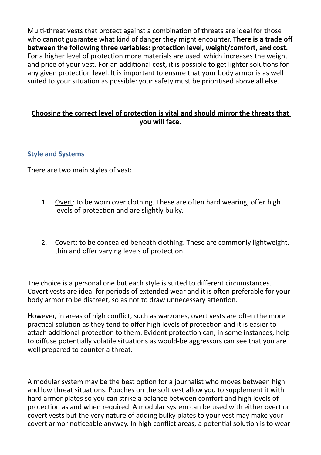Mult-threat vests that protect against a combinaton of threats are ideal for those who cannot guarantee what kind of danger they might encounter. **There is a trade off between the following three variables: protecton level, weight/comfort, and cost.** For a higher level of protection more materials are used, which increases the weight and price of your vest. For an additonal cost, it is possible to get lighter solutons for any given protection level. It is important to ensure that your body armor is as well suited to vour situation as possible: your safety must be prioritised above all else.

#### **Choosing the correct level of protecton is vital and should mirror the threats that you will face.**

#### **Style and Systems**

There are two main styles of vest:

- 1. Overt: to be worn over clothing. These are often hard wearing, offer high levels of protection and are slightly bulky.
- 2. Covert: to be concealed beneath clothing. These are commonly lightweight, thin and offer varying levels of protection.

The choice is a personal one but each style is suited to diferent circumstances. Covert vests are ideal for periods of extended wear and it is often preferable for your body armor to be discreet, so as not to draw unnecessary attention.

However, in areas of high confict, such as warzones, overt vests are ofen the more practical solution as they tend to offer high levels of protection and it is easier to attach additional protection to them. Evident protection can, in some instances, help to diffuse potentially volatile situations as would-be aggressors can see that you are well prepared to counter a threat.

A modular system may be the best opton for a journalist who moves between high and low threat situations. Pouches on the soft vest allow you to supplement it with hard armor plates so you can strike a balance between comfort and high levels of protection as and when required. A modular system can be used with either overt or covert vests but the very nature of adding bulky plates to your vest may make your covert armor noticeable anyway. In high conflict areas, a potential solution is to wear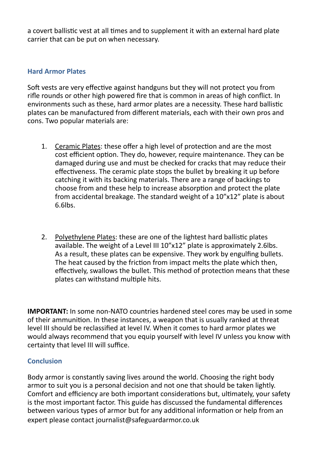a covert ballistic vest at all times and to supplement it with an external hard plate carrier that can be put on when necessary.

## **Hard Armor Plates**

Soft vests are very effective against handguns but they will not protect you from rife rounds or other high powered fre that is common in areas of high confict. In environments such as these, hard armor plates are a necessity. These hard ballistc plates can be manufactured from diferent materials, each with their own pros and cons. Two popular materials are:

- 1. Ceramic Plates: these ofer a high level of protecton and are the most cost efficient option. They do, however, require maintenance. They can be damaged during use and must be checked for cracks that may reduce their effectiveness. The ceramic plate stops the bullet by breaking it up before catching it with its backing materials. There are a range of backings to choose from and these help to increase absorption and protect the plate from accidental breakage. The standard weight of a 10"x12" plate is about 6.6lbs.
- 2. Polyethylene Plates: these are one of the lightest hard ballistic plates available. The weight of a Level III 10"x12" plate is approximately 2.6lbs. As a result, these plates can be expensive. They work by engulfng bullets. The heat caused by the friction from impact melts the plate which then, efectvely, swallows the bullet. This method of protecton means that these plates can withstand multiple hits.

**IMPORTANT:** In some non-NATO countries hardened steel cores may be used in some of their ammuniton. In these instances, a weapon that is usually ranked at threat level III should be reclassifed at level IV. When it comes to hard armor plates we would always recommend that you equip yourself with level IV unless you know with certainty that level III will suffice.

# **Conclusion**

Body armor is constantly saving lives around the world. Choosing the right body armor to suit you is a personal decision and not one that should be taken lightly. Comfort and efficiency are both important considerations but, ultimately, your safety is the most important factor. This guide has discussed the fundamental diferences between various types of armor but for any additional information or help from an expert please contact journalist@safeguardarmor.co.uk